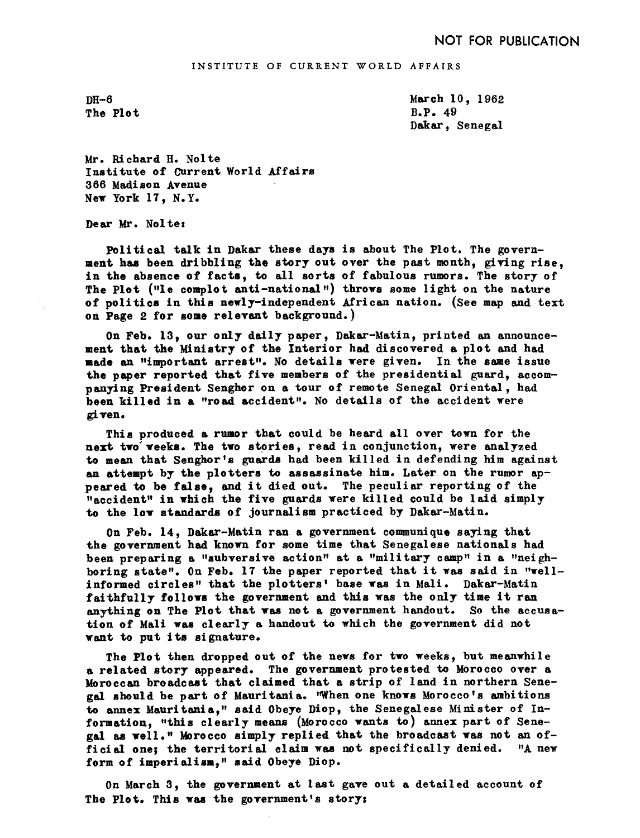$DH-6$ The Plot March 10, 1962 B.P. 49 Dakar. Senegal

Mr. Richard H. Nolte Institute of Current World Affairs 366 Madison Avenue New York 17, N.Y.

Dear Mr. Nolte:

Political talk in Dakar these days is about The Plot. The government has been dribbling the story out over the past month, giving rise, in the absence of facts, to all sorts of fabulous rumors. The story of The Plot ("le complot anti-national") throws some light on the nature of politics in this newly-independent African nation. (See map and text on Page 2 for some relevant background. )

On Feb. 13, our only daily paper, Dakar-Matin, printed an announcement that the Ministry of the Interior had discovered a plot and had made an "important arrest". No details were given. In the same issue the paper reported that five members of the presidential guard, accompanying President Senghor on a tour of remote Senegal Oriental, had been killed in a "road accident". No details of the accident were gi ven.

This produced a rumor that could be heard all over town for the next two weeks. The two stories, read in conjunction, were analyzed to mean that Senghor's guards had been killed in defending him against an attempt by the plotters to assassinate him. Later on the rumor appeared to be false, and it died out. The peculiar reporting of the ,\*accident" in which the five guards were killed could be laid simply to the low standards of journalism practiced by Dakar-Matin.

On Feb. 14, Dakar-Matin ran a government communique saying that the government had known for some time that Senegalese nationals had been preparing a "subversive action" at a "military camp" in a "neighboring state". On Feb. 17 the paper reported that it was said in "wellinformed circles" that the plotters' base was in Mali. Dakar-Matin faithfully follows the government and this was the only time it ran anything on The Plot that was not a government handout. So the accusation of Mali was clearly a handout to which the government did not want to put its signature.

The Plot then dropped out of the news for two weeks, but meanwhile a related story appeared. The government protested to Morocco over a Moroccan broadcast that claimed that a strip of land in northern Senegal should be part of Mauritania. "When one knows Morocco's ambitions to annex Mauritania," said Obeye Diop, the Senegalese Minister of Information, "this clearly means (Morocco wants to) annex part of Senegal as well." Morocco simply replied that the broadcast was not an official one; the territorial claim was not specifically denied. "A new form of imperialism," said Obeys Diop.

On March 3, the government at last gave out a detailed account of The Plot. This was the government's story: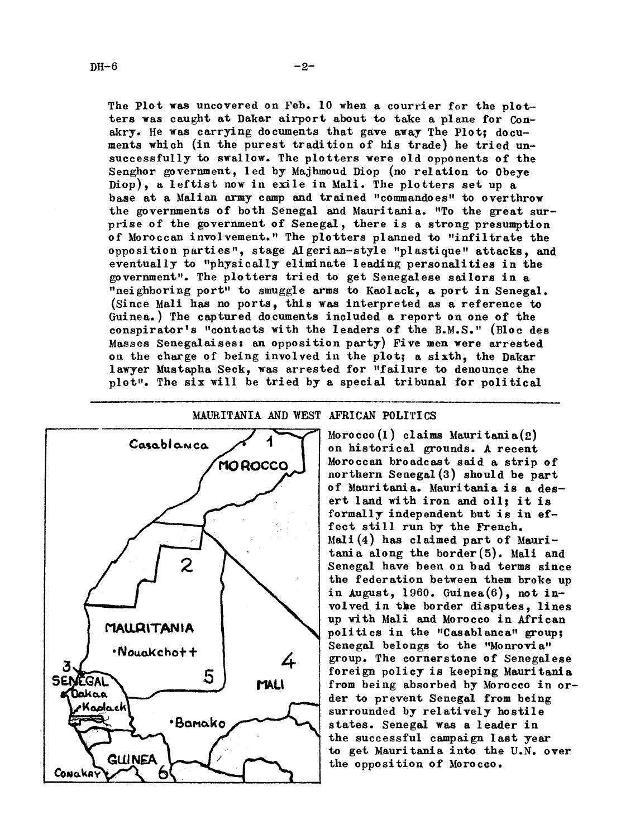The Plot was uncovered on Feb. I0 when a courrier for the plotters was caught at Dakar airport about to take a plane for Conakry. He was carrying documents that gave away The Plot; documents which (in the purest tradition of his trade) he tried unsuccessfully to swallow. The plotters were old opponents of the Senghor government, led by Majhmoud Diop (no relation to Obeye Diop), a leftist now in exile in Mall. The plotters set up a base at a Malian army camp and trained "commandoes" to overthrow the governments of both Senegal and Mauritania. "To the great sur-

prise of the government of Senegal, there is a strong presumption of Moroccan involvement." The plotters planned to "infiltrate the opposition parties", stage Algerian-style "plastique" attacks, and eventually to "physically eliminate leading personalities in the government". The plotters tried to get Senegalese sailors in a "neighboring port" to smuggle arms to Kaolack, a port in Senegal. (Since Mali has no ports, this was interpreted as a reference to Guinea.) The captured documents included a report on one of the conspirator's "contacts with the leaders of the B.M.S." (Bloc des Masses Senegalaises: an opposition party) Five men were arrested on the charge of being involved in the plot; a sixth, the Dakar lawyer Mustapha Seck, was arrested for "failure to denounce the plot". The six will be tried by a special tribunal for political



MAURITANIA AND WEST AFRICAN POLITI CS

Morocco $(1)$  claims Mauritania $(2)$ on historical grounds. A recen Moroccan broadcast said a strip of northern Senegal (3) should be part of Mauritania. Mauritania is a desert land with iron and oil; it is formally independent but is in effect still run by the French. Mali (4) has claimed part of Mauritania along the border  $(5)$ . Mali and. Senegal have been on bad terms since the federation between them broke up in August, 1960. Guinea $(6)$ , not involved in the border disputes. lines up with Mali and Morocco in African politics in the "Casablanca" group! Senegal belongs to the "Monrovia" group. The cornerstone of Senegalese foreign policy is keeping Mauritania from being absorbed by Morocco in order to prevent Senegal from being surrounded by relatively hostile states. Senegal was a leader in the successful campaign last year to get Mauritania into the U.N. over the opposition of Morocco.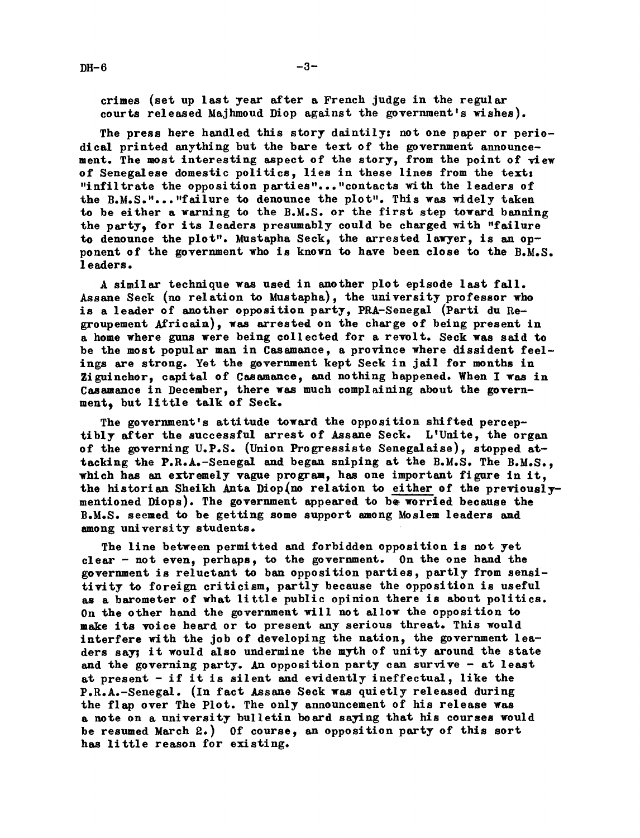crimes (set up last year after a French judge in the regular courts released Majhmoud Diop against the government's vishes).

The press here handled this story daintily: not one paper or periodical printed anything but the bare text of the government announcement. The most interesting aspect of the story, from the point of view of Senegalese domestic politics, lies in these lines from the text: "infiltrate the opposition parties"..."contacts with the leaders of the BoM.S."..."failure to denounce the plot". This was widely taken to be either a warning to the B.M.S. or the first step toward banning the party, for its leaders presumably could be charged with "failure to denounce the plot". Mustapha Seck, the arrested lawyer, is an opponent of the government who is known to have been close to the  $B.M.S.$ 1 eaders.

A similar technique was used in another plot episode last fall. Assane Seck (no relation to Mustapha), the university professor who is a leader of another opposition party PRA-Senegal (Parti du Regroupement Africain), was arrested on the charge of being present in a home where guns were being collected for a revolt. Seck was said to be the most popular man in Casamance, a province where dissident feelings are strong. Yet the government kept Seck in jail for months in Ziguinchor, capital of Casamance, and nothing happened. When I was in Casamance in December, there was much complaining about the government, but little talk of Seck.

The government's attitude toward the opposition shifted perceptibly after the successful arrest of Assane Seck. L'Unite, the organ of the governing U.P.S. (Union Progressiste Senegalaise), stopped attacking the P.R.A.-Senegal and began sniping at the B.M.S. The B.M.S.. which has an extremely vague program, has one important figure in it. the historian Sheikh Anta Diop(no relation to either of the previouslymentioned Diops). The government appeared to be worried because the B.MoS. seemed to be getting some support among Moslem leaders and among university students.

The line between permitted and forbidden opposition is not yet clear - not even, perhaps, to the government. On the one hand the government is reluctant to ban opposition parties, partly from sensitivity to foreign criticism, partly because the opposition is useful as a barometer of what little public opinion there is about politics. On the other hand the government will not allow the opposition to make its voice heard or to present any serious threat. This would interfere with the job of developing the nation, the government leaders say; it would also undermine the myth of unity around the state and the governing party. An opposition party can survive- at least at present - if it is silent and evidently ineffectual, like the P.R.A.-Senegal. (In fact Assane Seck was quietly released during the flap over The Plot. The only announcement of his release was a note on a university bulletin board saying that his courses would be resumed March 2.) Of course, an opposition party of this sort has little reason for existing.